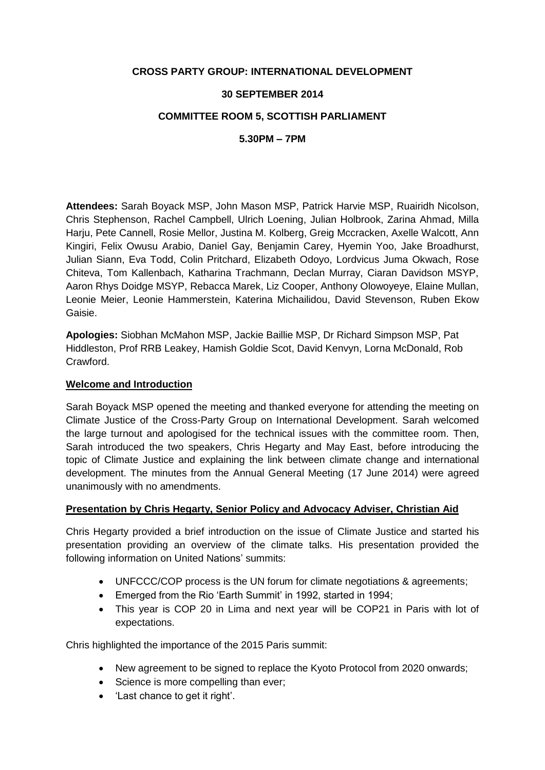### **CROSS PARTY GROUP: INTERNATIONAL DEVELOPMENT**

### **30 SEPTEMBER 2014**

### **COMMITTEE ROOM 5, SCOTTISH PARLIAMENT**

**5.30PM – 7PM**

**Attendees:** Sarah Boyack MSP, John Mason MSP, Patrick Harvie MSP, Ruairidh Nicolson, Chris Stephenson, Rachel Campbell, Ulrich Loening, Julian Holbrook, Zarina Ahmad, Milla Harju, Pete Cannell, Rosie Mellor, Justina M. Kolberg, Greig Mccracken, Axelle Walcott, Ann Kingiri, Felix Owusu Arabio, Daniel Gay, Benjamin Carey, Hyemin Yoo, Jake Broadhurst, Julian Siann, Eva Todd, Colin Pritchard, Elizabeth Odoyo, Lordvicus Juma Okwach, Rose Chiteva, Tom Kallenbach, Katharina Trachmann, Declan Murray, Ciaran Davidson MSYP, Aaron Rhys Doidge MSYP, Rebacca Marek, Liz Cooper, Anthony Olowoyeye, Elaine Mullan, Leonie Meier, Leonie Hammerstein, Katerina Michailidou, David Stevenson, Ruben Ekow Gaisie.

**Apologies:** Siobhan McMahon MSP, Jackie Baillie MSP, Dr Richard Simpson MSP, Pat Hiddleston, Prof RRB Leakey, Hamish Goldie Scot, David Kenvyn, Lorna McDonald, Rob Crawford.

#### **Welcome and Introduction**

Sarah Boyack MSP opened the meeting and thanked everyone for attending the meeting on Climate Justice of the Cross-Party Group on International Development. Sarah welcomed the large turnout and apologised for the technical issues with the committee room. Then, Sarah introduced the two speakers, Chris Hegarty and May East, before introducing the topic of Climate Justice and explaining the link between climate change and international development. The minutes from the Annual General Meeting (17 June 2014) were agreed unanimously with no amendments.

## **Presentation by Chris Hegarty, Senior Policy and Advocacy Adviser, Christian Aid**

Chris Hegarty provided a brief introduction on the issue of Climate Justice and started his presentation providing an overview of the climate talks. His presentation provided the following information on United Nations' summits:

- UNFCCC/COP process is the UN forum for climate negotiations & agreements;
- Emerged from the Rio 'Earth Summit' in 1992, started in 1994;
- This year is COP 20 in Lima and next year will be COP21 in Paris with lot of expectations.

Chris highlighted the importance of the 2015 Paris summit:

- New agreement to be signed to replace the Kyoto Protocol from 2020 onwards;
- Science is more compelling than ever;
- 'Last chance to get it right'.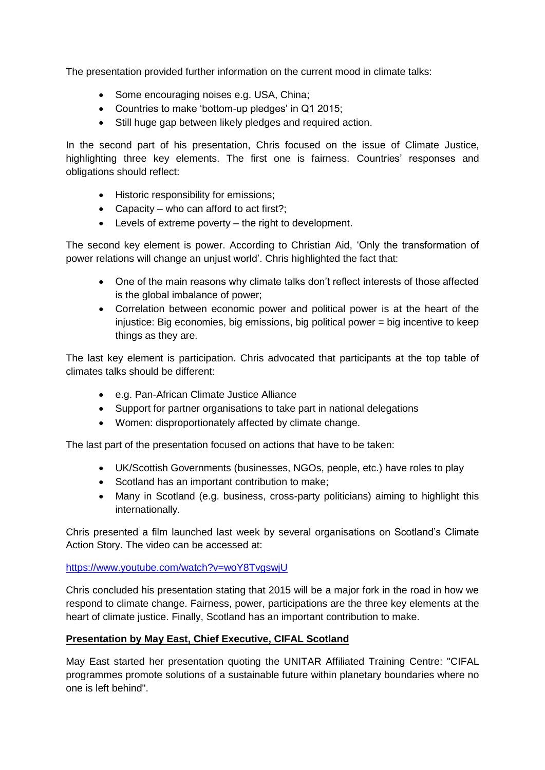The presentation provided further information on the current mood in climate talks:

- Some encouraging noises e.g. USA, China;
- Countries to make 'bottom-up pledges' in Q1 2015;
- Still huge gap between likely pledges and required action.

In the second part of his presentation, Chris focused on the issue of Climate Justice, highlighting three key elements. The first one is fairness. Countries' responses and obligations should reflect:

- Historic responsibility for emissions;
- Capacity who can afford to act first?;
- Levels of extreme poverty the right to development.

The second key element is power. According to Christian Aid, 'Only the transformation of power relations will change an unjust world'. Chris highlighted the fact that:

- One of the main reasons why climate talks don't reflect interests of those affected is the global imbalance of power;
- Correlation between economic power and political power is at the heart of the injustice: Big economies, big emissions, big political power = big incentive to keep things as they are.

The last key element is participation. Chris advocated that participants at the top table of climates talks should be different:

- e.g. Pan-African Climate Justice Alliance
- Support for partner organisations to take part in national delegations
- Women: disproportionately affected by climate change.

The last part of the presentation focused on actions that have to be taken:

- UK/Scottish Governments (businesses, NGOs, people, etc.) have roles to play
- Scotland has an important contribution to make;
- Many in Scotland (e.g. business, cross-party politicians) aiming to highlight this internationally.

Chris presented a film launched last week by several organisations on Scotland's Climate Action Story. The video can be accessed at:

## https://www.youtube.com/watch?v=woY8TvgswiU

Chris concluded his presentation stating that 2015 will be a major fork in the road in how we respond to climate change. Fairness, power, participations are the three key elements at the heart of climate justice. Finally, Scotland has an important contribution to make.

## **Presentation by May East, Chief Executive, CIFAL Scotland**

May East started her presentation quoting the UNITAR Affiliated Training Centre: "CIFAL programmes promote solutions of a sustainable future within planetary boundaries where no one is left behind".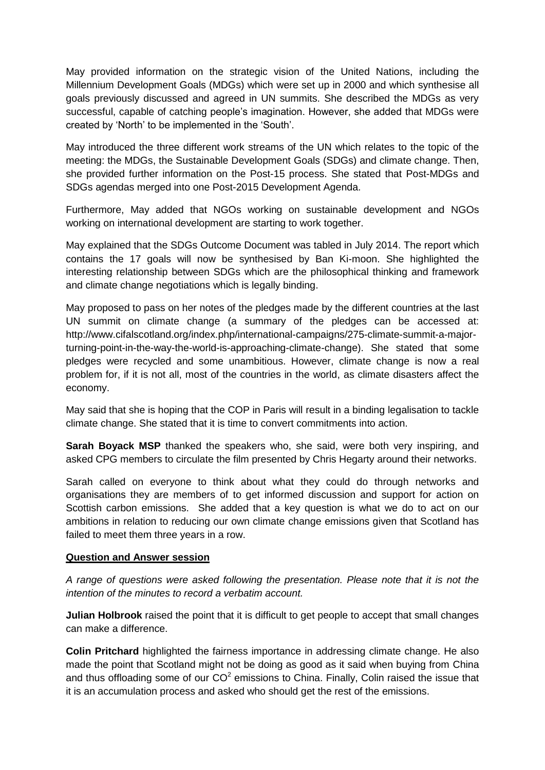May provided information on the strategic vision of the United Nations, including the Millennium Development Goals (MDGs) which were set up in 2000 and which synthesise all goals previously discussed and agreed in UN summits. She described the MDGs as very successful, capable of catching people's imagination. However, she added that MDGs were created by 'North' to be implemented in the 'South'.

May introduced the three different work streams of the UN which relates to the topic of the meeting: the MDGs, the Sustainable Development Goals (SDGs) and climate change. Then, she provided further information on the Post-15 process. She stated that Post-MDGs and SDGs agendas merged into one Post-2015 Development Agenda.

Furthermore, May added that NGOs working on sustainable development and NGOs working on international development are starting to work together.

May explained that the SDGs Outcome Document was tabled in July 2014. The report which contains the 17 goals will now be synthesised by Ban Ki-moon. She highlighted the interesting relationship between SDGs which are the philosophical thinking and framework and climate change negotiations which is legally binding.

May proposed to pass on her notes of the pledges made by the different countries at the last UN summit on climate change (a summary of the pledges can be accessed at: http://www.cifalscotland.org/index.php/international-campaigns/275-climate-summit-a-majorturning-point-in-the-way-the-world-is-approaching-climate-change). She stated that some pledges were recycled and some unambitious. However, climate change is now a real problem for, if it is not all, most of the countries in the world, as climate disasters affect the economy.

May said that she is hoping that the COP in Paris will result in a binding legalisation to tackle climate change. She stated that it is time to convert commitments into action.

**Sarah Boyack MSP** thanked the speakers who, she said, were both very inspiring, and asked CPG members to circulate the film presented by Chris Hegarty around their networks.

Sarah called on everyone to think about what they could do through networks and organisations they are members of to get informed discussion and support for action on Scottish carbon emissions. She added that a key question is what we do to act on our ambitions in relation to reducing our own climate change emissions given that Scotland has failed to meet them three years in a row.

#### **Question and Answer session**

*A range of questions were asked following the presentation. Please note that it is not the intention of the minutes to record a verbatim account.*

**Julian Holbrook** raised the point that it is difficult to get people to accept that small changes can make a difference.

**Colin Pritchard** highlighted the fairness importance in addressing climate change. He also made the point that Scotland might not be doing as good as it said when buying from China and thus offloading some of our  $CO^2$  emissions to China. Finally, Colin raised the issue that it is an accumulation process and asked who should get the rest of the emissions.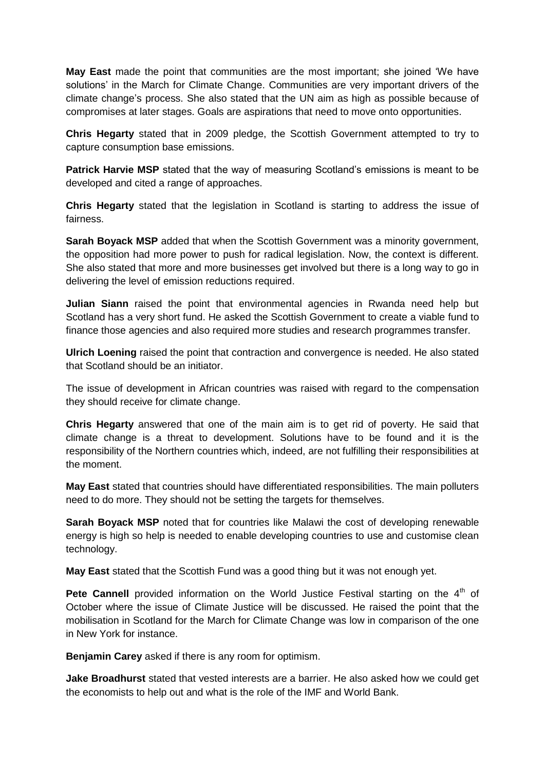**May East** made the point that communities are the most important; she joined 'We have solutions' in the March for Climate Change. Communities are very important drivers of the climate change's process. She also stated that the UN aim as high as possible because of compromises at later stages. Goals are aspirations that need to move onto opportunities.

**Chris Hegarty** stated that in 2009 pledge, the Scottish Government attempted to try to capture consumption base emissions.

**Patrick Harvie MSP** stated that the way of measuring Scotland's emissions is meant to be developed and cited a range of approaches.

**Chris Hegarty** stated that the legislation in Scotland is starting to address the issue of fairness.

**Sarah Boyack MSP** added that when the Scottish Government was a minority government, the opposition had more power to push for radical legislation. Now, the context is different. She also stated that more and more businesses get involved but there is a long way to go in delivering the level of emission reductions required.

**Julian Siann** raised the point that environmental agencies in Rwanda need help but Scotland has a very short fund. He asked the Scottish Government to create a viable fund to finance those agencies and also required more studies and research programmes transfer.

**Ulrich Loening** raised the point that contraction and convergence is needed. He also stated that Scotland should be an initiator.

The issue of development in African countries was raised with regard to the compensation they should receive for climate change.

**Chris Hegarty** answered that one of the main aim is to get rid of poverty. He said that climate change is a threat to development. Solutions have to be found and it is the responsibility of the Northern countries which, indeed, are not fulfilling their responsibilities at the moment.

**May East** stated that countries should have differentiated responsibilities. The main polluters need to do more. They should not be setting the targets for themselves.

**Sarah Boyack MSP** noted that for countries like Malawi the cost of developing renewable energy is high so help is needed to enable developing countries to use and customise clean technology.

**May East** stated that the Scottish Fund was a good thing but it was not enough yet.

**Pete Cannell** provided information on the World Justice Festival starting on the 4<sup>th</sup> of October where the issue of Climate Justice will be discussed. He raised the point that the mobilisation in Scotland for the March for Climate Change was low in comparison of the one in New York for instance.

**Benjamin Carey** asked if there is any room for optimism.

**Jake Broadhurst** stated that vested interests are a barrier. He also asked how we could get the economists to help out and what is the role of the IMF and World Bank.